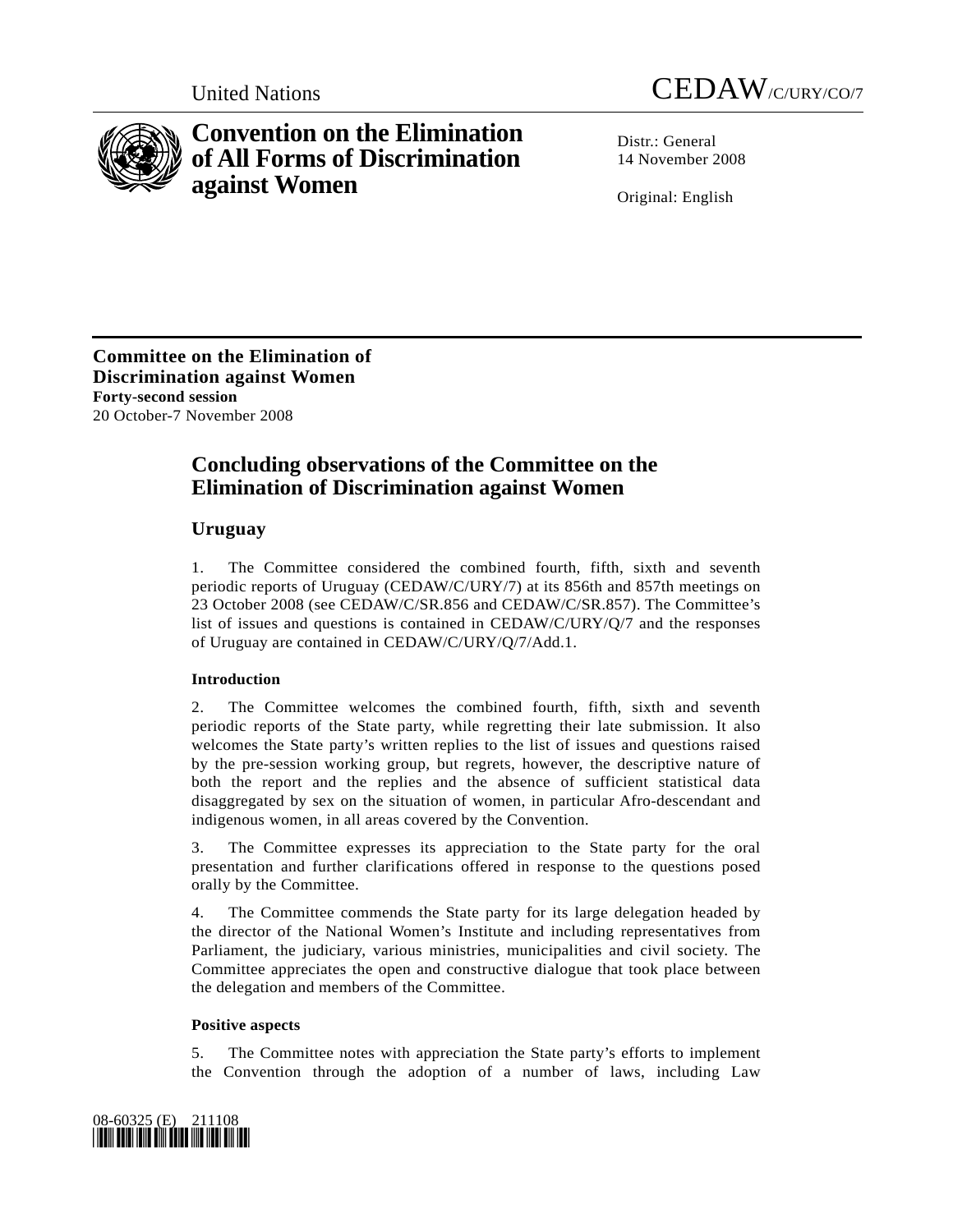



# **Convention on the Elimination of All Forms of Discrimination against Women**

Distr · General 14 November 2008

Original: English

**Committee on the Elimination of Discrimination against Women Forty-second session**  20 October-7 November 2008

## **Concluding observations of the Committee on the Elimination of Discrimination against Women**

## **Uruguay**

1. The Committee considered the combined fourth, fifth, sixth and seventh periodic reports of Uruguay (CEDAW/C/URY/7) at its 856th and 857th meetings on 23 October 2008 (see CEDAW/C/SR.856 and CEDAW/C/SR.857). The Committee's list of issues and questions is contained in CEDAW/C/URY/Q/7 and the responses of Uruguay are contained in CEDAW/C/URY/Q/7/Add.1.

## **Introduction**

2. The Committee welcomes the combined fourth, fifth, sixth and seventh periodic reports of the State party, while regretting their late submission. It also welcomes the State party's written replies to the list of issues and questions raised by the pre-session working group, but regrets, however, the descriptive nature of both the report and the replies and the absence of sufficient statistical data disaggregated by sex on the situation of women, in particular Afro-descendant and indigenous women, in all areas covered by the Convention.

3. The Committee expresses its appreciation to the State party for the oral presentation and further clarifications offered in response to the questions posed orally by the Committee.

4. The Committee commends the State party for its large delegation headed by the director of the National Women's Institute and including representatives from Parliament, the judiciary, various ministries, municipalities and civil society. The Committee appreciates the open and constructive dialogue that took place between the delegation and members of the Committee.

### **Positive aspects**

5. The Committee notes with appreciation the State party's efforts to implement the Convention through the adoption of a number of laws, including Law

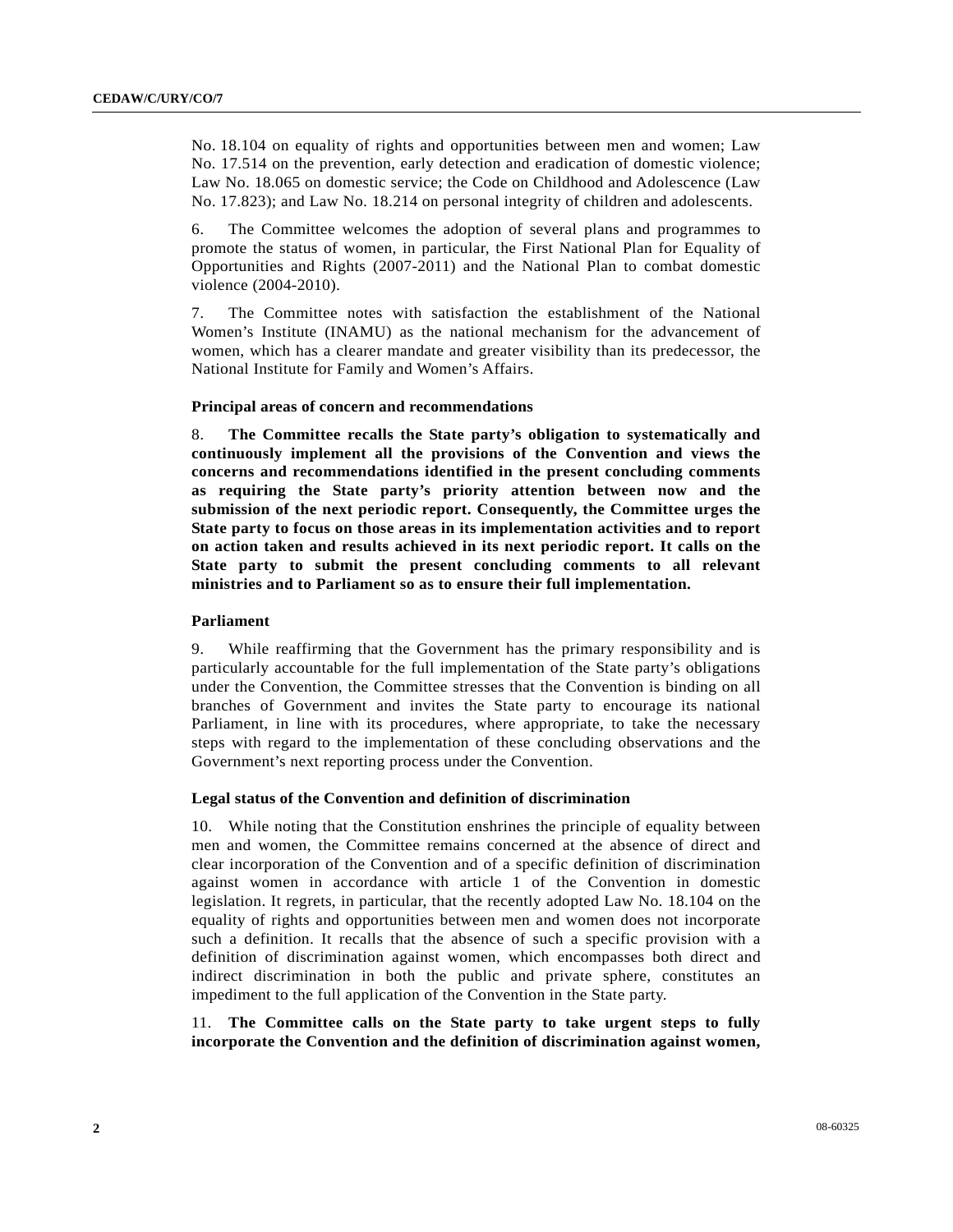No. 18.104 on equality of rights and opportunities between men and women; Law No. 17.514 on the prevention, early detection and eradication of domestic violence; Law No. 18.065 on domestic service; the Code on Childhood and Adolescence (Law No. 17.823); and Law No. 18.214 on personal integrity of children and adolescents.

6. The Committee welcomes the adoption of several plans and programmes to promote the status of women, in particular, the First National Plan for Equality of Opportunities and Rights (2007-2011) and the National Plan to combat domestic violence (2004-2010).

7. The Committee notes with satisfaction the establishment of the National Women's Institute (INAMU) as the national mechanism for the advancement of women, which has a clearer mandate and greater visibility than its predecessor, the National Institute for Family and Women's Affairs.

#### **Principal areas of concern and recommendations**

8. **The Committee recalls the State party's obligation to systematically and continuously implement all the provisions of the Convention and views the concerns and recommendations identified in the present concluding comments as requiring the State party's priority attention between now and the submission of the next periodic report. Consequently, the Committee urges the State party to focus on those areas in its implementation activities and to report on action taken and results achieved in its next periodic report. It calls on the State party to submit the present concluding comments to all relevant ministries and to Parliament so as to ensure their full implementation.** 

#### **Parliament**

9. While reaffirming that the Government has the primary responsibility and is particularly accountable for the full implementation of the State party's obligations under the Convention, the Committee stresses that the Convention is binding on all branches of Government and invites the State party to encourage its national Parliament, in line with its procedures, where appropriate, to take the necessary steps with regard to the implementation of these concluding observations and the Government's next reporting process under the Convention.

#### **Legal status of the Convention and definition of discrimination**

10. While noting that the Constitution enshrines the principle of equality between men and women, the Committee remains concerned at the absence of direct and clear incorporation of the Convention and of a specific definition of discrimination against women in accordance with article 1 of the Convention in domestic legislation. It regrets, in particular, that the recently adopted Law No. 18.104 on the equality of rights and opportunities between men and women does not incorporate such a definition. It recalls that the absence of such a specific provision with a definition of discrimination against women, which encompasses both direct and indirect discrimination in both the public and private sphere, constitutes an impediment to the full application of the Convention in the State party.

11. **The Committee calls on the State party to take urgent steps to fully incorporate the Convention and the definition of discrimination against women,**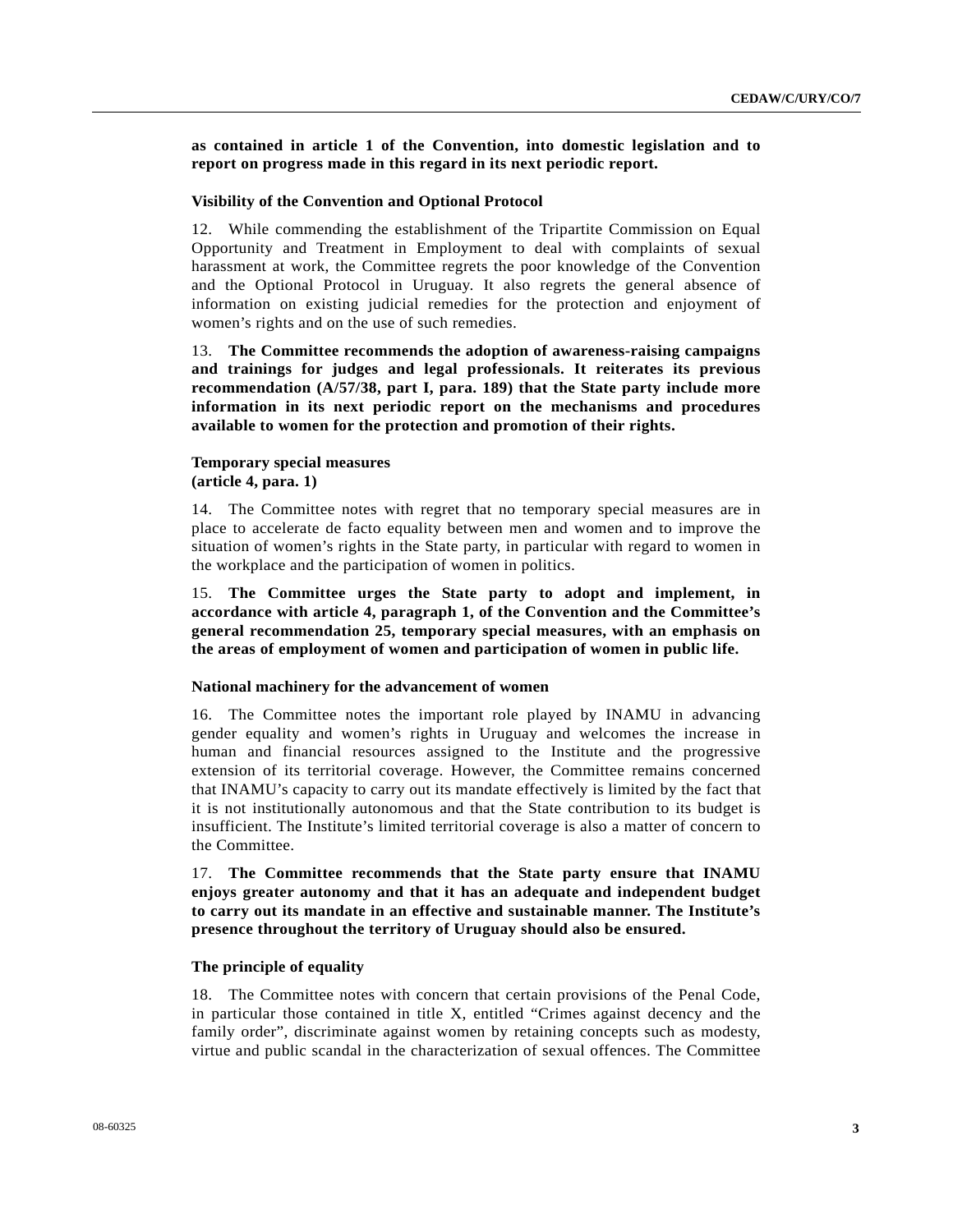**as contained in article 1 of the Convention, into domestic legislation and to report on progress made in this regard in its next periodic report.** 

#### **Visibility of the Convention and Optional Protocol**

12. While commending the establishment of the Tripartite Commission on Equal Opportunity and Treatment in Employment to deal with complaints of sexual harassment at work, the Committee regrets the poor knowledge of the Convention and the Optional Protocol in Uruguay. It also regrets the general absence of information on existing judicial remedies for the protection and enjoyment of women's rights and on the use of such remedies.

13. **The Committee recommends the adoption of awareness-raising campaigns and trainings for judges and legal professionals. It reiterates its previous recommendation (A/57/38, part I, para. 189) that the State party include more information in its next periodic report on the mechanisms and procedures available to women for the protection and promotion of their rights.** 

#### **Temporary special measures (article 4, para. 1)**

14. The Committee notes with regret that no temporary special measures are in place to accelerate de facto equality between men and women and to improve the situation of women's rights in the State party, in particular with regard to women in the workplace and the participation of women in politics.

15. **The Committee urges the State party to adopt and implement, in accordance with article 4, paragraph 1, of the Convention and the Committee's general recommendation 25, temporary special measures, with an emphasis on the areas of employment of women and participation of women in public life.** 

#### **National machinery for the advancement of women**

16. The Committee notes the important role played by INAMU in advancing gender equality and women's rights in Uruguay and welcomes the increase in human and financial resources assigned to the Institute and the progressive extension of its territorial coverage. However, the Committee remains concerned that INAMU's capacity to carry out its mandate effectively is limited by the fact that it is not institutionally autonomous and that the State contribution to its budget is insufficient. The Institute's limited territorial coverage is also a matter of concern to the Committee.

17. **The Committee recommends that the State party ensure that INAMU enjoys greater autonomy and that it has an adequate and independent budget to carry out its mandate in an effective and sustainable manner. The Institute's presence throughout the territory of Uruguay should also be ensured.** 

#### **The principle of equality**

18. The Committee notes with concern that certain provisions of the Penal Code, in particular those contained in title X, entitled "Crimes against decency and the family order", discriminate against women by retaining concepts such as modesty, virtue and public scandal in the characterization of sexual offences. The Committee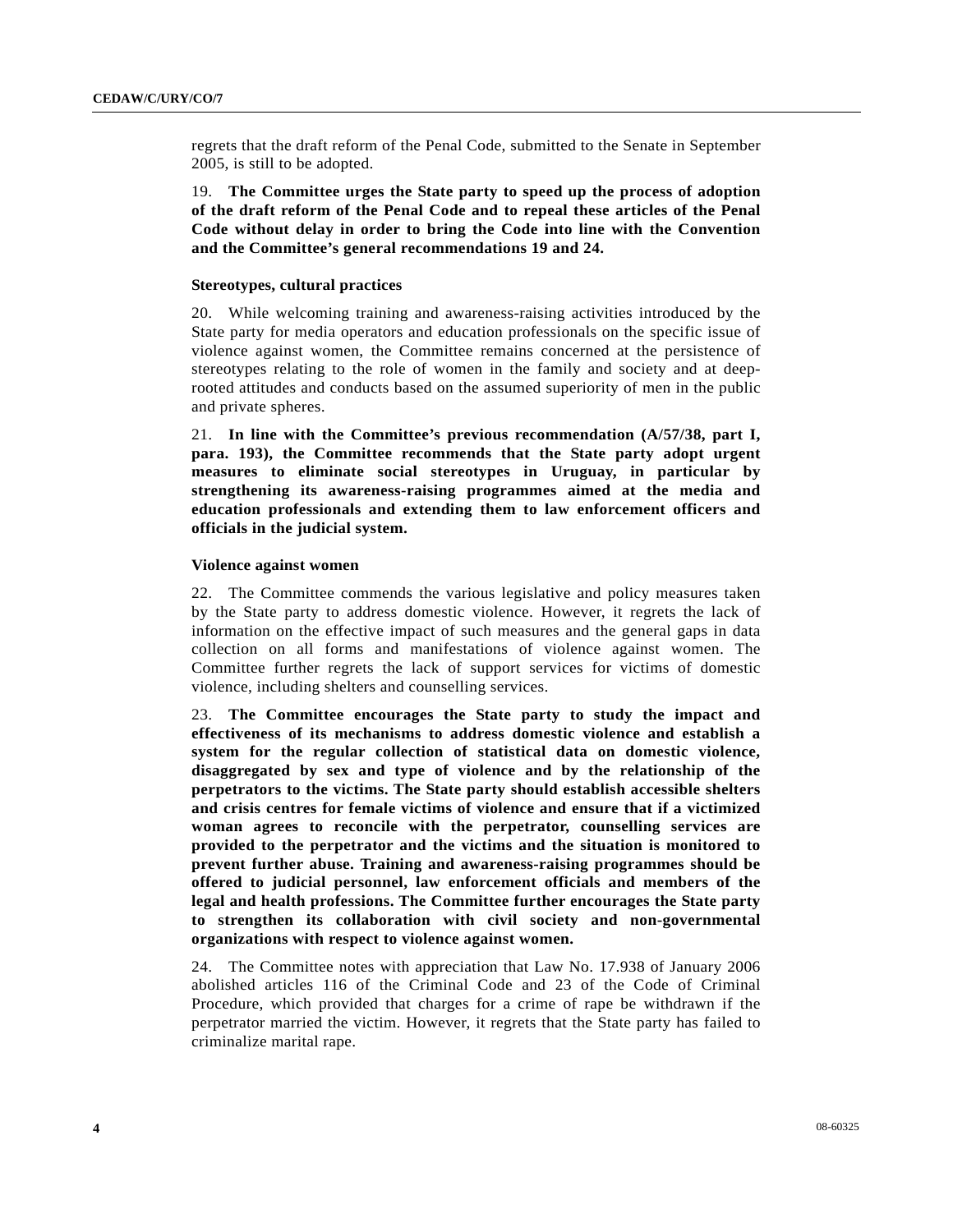regrets that the draft reform of the Penal Code, submitted to the Senate in September 2005, is still to be adopted.

19. **The Committee urges the State party to speed up the process of adoption of the draft reform of the Penal Code and to repeal these articles of the Penal Code without delay in order to bring the Code into line with the Convention and the Committee's general recommendations 19 and 24.** 

#### **Stereotypes, cultural practices**

20. While welcoming training and awareness-raising activities introduced by the State party for media operators and education professionals on the specific issue of violence against women, the Committee remains concerned at the persistence of stereotypes relating to the role of women in the family and society and at deeprooted attitudes and conducts based on the assumed superiority of men in the public and private spheres.

21. **In line with the Committee's previous recommendation (A/57/38, part I, para. 193), the Committee recommends that the State party adopt urgent measures to eliminate social stereotypes in Uruguay, in particular by strengthening its awareness-raising programmes aimed at the media and education professionals and extending them to law enforcement officers and officials in the judicial system.**

#### **Violence against women**

22. The Committee commends the various legislative and policy measures taken by the State party to address domestic violence. However, it regrets the lack of information on the effective impact of such measures and the general gaps in data collection on all forms and manifestations of violence against women. The Committee further regrets the lack of support services for victims of domestic violence, including shelters and counselling services.

23. **The Committee encourages the State party to study the impact and effectiveness of its mechanisms to address domestic violence and establish a system for the regular collection of statistical data on domestic violence, disaggregated by sex and type of violence and by the relationship of the perpetrators to the victims. The State party should establish accessible shelters and crisis centres for female victims of violence and ensure that if a victimized woman agrees to reconcile with the perpetrator, counselling services are provided to the perpetrator and the victims and the situation is monitored to prevent further abuse. Training and awareness-raising programmes should be offered to judicial personnel, law enforcement officials and members of the legal and health professions. The Committee further encourages the State party to strengthen its collaboration with civil society and non-governmental organizations with respect to violence against women.** 

24. The Committee notes with appreciation that Law No. 17.938 of January 2006 abolished articles 116 of the Criminal Code and 23 of the Code of Criminal Procedure, which provided that charges for a crime of rape be withdrawn if the perpetrator married the victim. However, it regrets that the State party has failed to criminalize marital rape.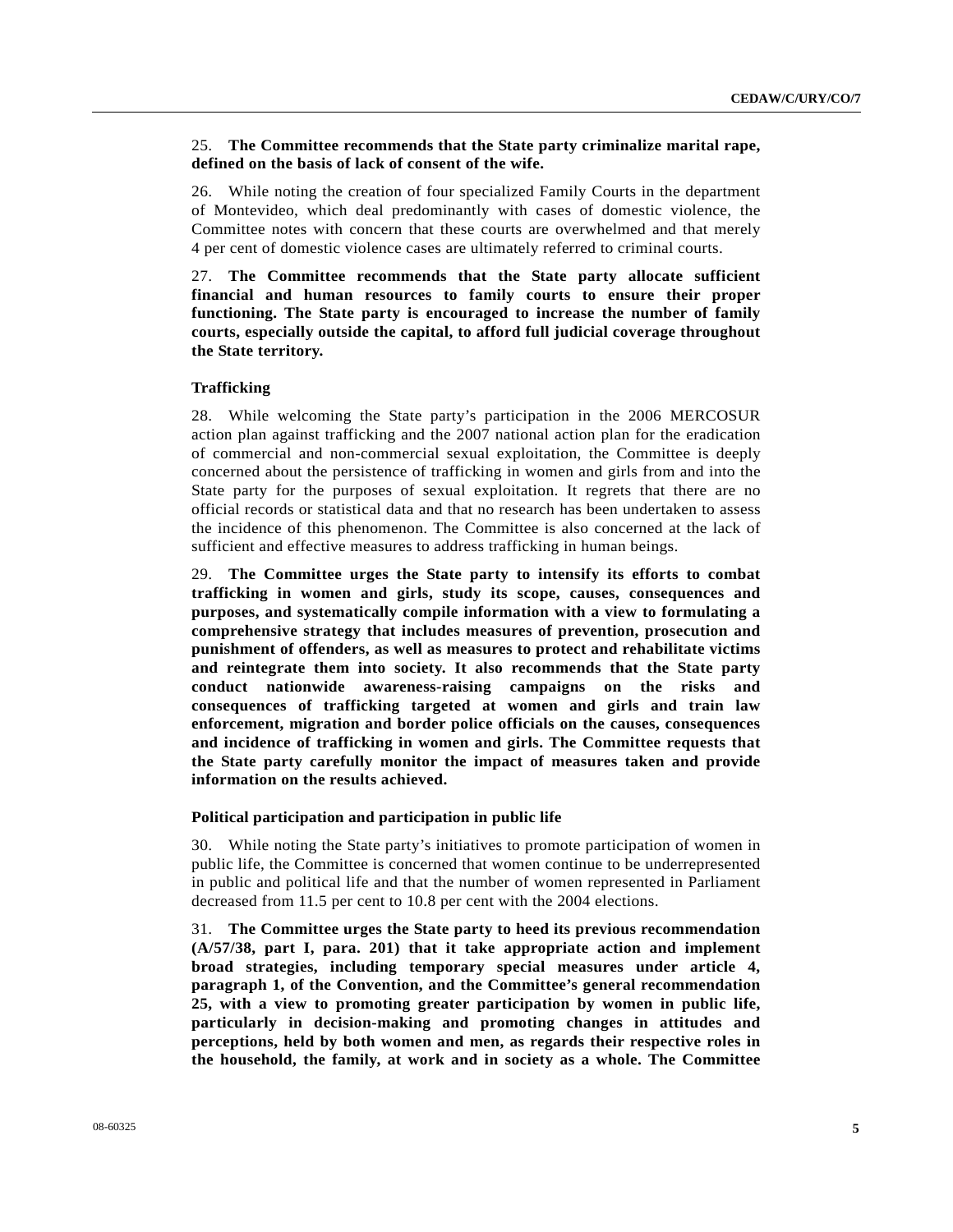#### 25. **The Committee recommends that the State party criminalize marital rape, defined on the basis of lack of consent of the wife.**

26. While noting the creation of four specialized Family Courts in the department of Montevideo, which deal predominantly with cases of domestic violence, the Committee notes with concern that these courts are overwhelmed and that merely 4 per cent of domestic violence cases are ultimately referred to criminal courts.

27. **The Committee recommends that the State party allocate sufficient financial and human resources to family courts to ensure their proper functioning. The State party is encouraged to increase the number of family courts, especially outside the capital, to afford full judicial coverage throughout the State territory.**

#### **Trafficking**

28. While welcoming the State party's participation in the 2006 MERCOSUR action plan against trafficking and the 2007 national action plan for the eradication of commercial and non-commercial sexual exploitation, the Committee is deeply concerned about the persistence of trafficking in women and girls from and into the State party for the purposes of sexual exploitation. It regrets that there are no official records or statistical data and that no research has been undertaken to assess the incidence of this phenomenon. The Committee is also concerned at the lack of sufficient and effective measures to address trafficking in human beings.

29. **The Committee urges the State party to intensify its efforts to combat trafficking in women and girls, study its scope, causes, consequences and purposes, and systematically compile information with a view to formulating a comprehensive strategy that includes measures of prevention, prosecution and punishment of offenders, as well as measures to protect and rehabilitate victims and reintegrate them into society. It also recommends that the State party conduct nationwide awareness-raising campaigns on the risks and consequences of trafficking targeted at women and girls and train law enforcement, migration and border police officials on the causes, consequences and incidence of trafficking in women and girls. The Committee requests that the State party carefully monitor the impact of measures taken and provide information on the results achieved.**

#### **Political participation and participation in public life**

30. While noting the State party's initiatives to promote participation of women in public life, the Committee is concerned that women continue to be underrepresented in public and political life and that the number of women represented in Parliament decreased from 11.5 per cent to 10.8 per cent with the 2004 elections.

31. **The Committee urges the State party to heed its previous recommendation (A/57/38, part I, para. 201) that it take appropriate action and implement broad strategies, including temporary special measures under article 4, paragraph 1, of the Convention, and the Committee's general recommendation 25, with a view to promoting greater participation by women in public life, particularly in decision-making and promoting changes in attitudes and perceptions, held by both women and men, as regards their respective roles in the household, the family, at work and in society as a whole. The Committee**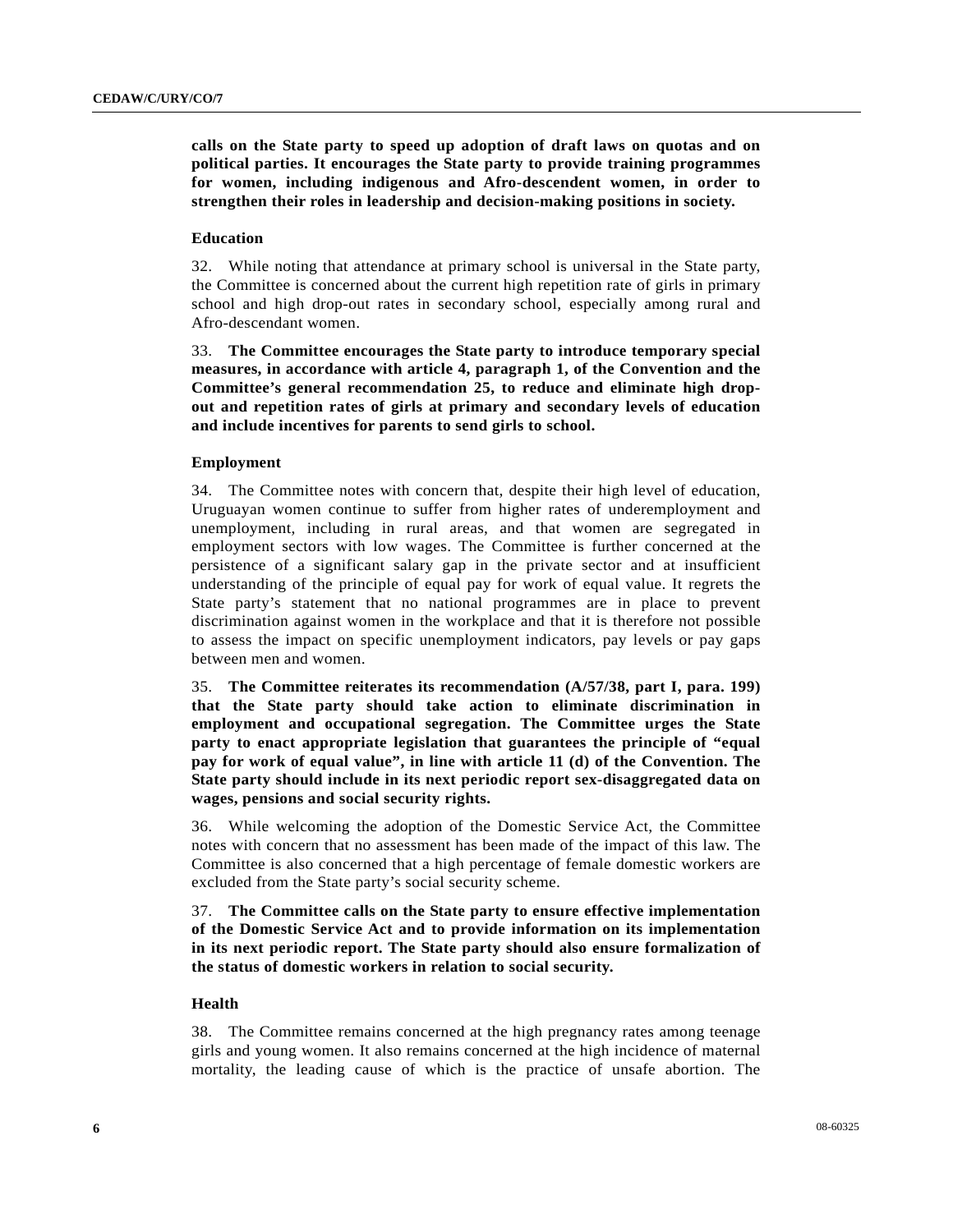**calls on the State party to speed up adoption of draft laws on quotas and on political parties. It encourages the State party to provide training programmes for women, including indigenous and Afro-descendent women, in order to strengthen their roles in leadership and decision-making positions in society.** 

#### **Education**

32. While noting that attendance at primary school is universal in the State party, the Committee is concerned about the current high repetition rate of girls in primary school and high drop-out rates in secondary school, especially among rural and Afro-descendant women.

33. **The Committee encourages the State party to introduce temporary special measures, in accordance with article 4, paragraph 1, of the Convention and the Committee's general recommendation 25, to reduce and eliminate high dropout and repetition rates of girls at primary and secondary levels of education and include incentives for parents to send girls to school.** 

#### **Employment**

34. The Committee notes with concern that, despite their high level of education, Uruguayan women continue to suffer from higher rates of underemployment and unemployment, including in rural areas, and that women are segregated in employment sectors with low wages. The Committee is further concerned at the persistence of a significant salary gap in the private sector and at insufficient understanding of the principle of equal pay for work of equal value. It regrets the State party's statement that no national programmes are in place to prevent discrimination against women in the workplace and that it is therefore not possible to assess the impact on specific unemployment indicators, pay levels or pay gaps between men and women.

35. **The Committee reiterates its recommendation (A/57/38, part I, para. 199) that the State party should take action to eliminate discrimination in employment and occupational segregation. The Committee urges the State party to enact appropriate legislation that guarantees the principle of "equal pay for work of equal value", in line with article 11 (d) of the Convention. The State party should include in its next periodic report sex-disaggregated data on wages, pensions and social security rights.** 

36. While welcoming the adoption of the Domestic Service Act, the Committee notes with concern that no assessment has been made of the impact of this law. The Committee is also concerned that a high percentage of female domestic workers are excluded from the State party's social security scheme.

37. **The Committee calls on the State party to ensure effective implementation of the Domestic Service Act and to provide information on its implementation in its next periodic report. The State party should also ensure formalization of the status of domestic workers in relation to social security.** 

#### **Health**

38. The Committee remains concerned at the high pregnancy rates among teenage girls and young women. It also remains concerned at the high incidence of maternal mortality, the leading cause of which is the practice of unsafe abortion. The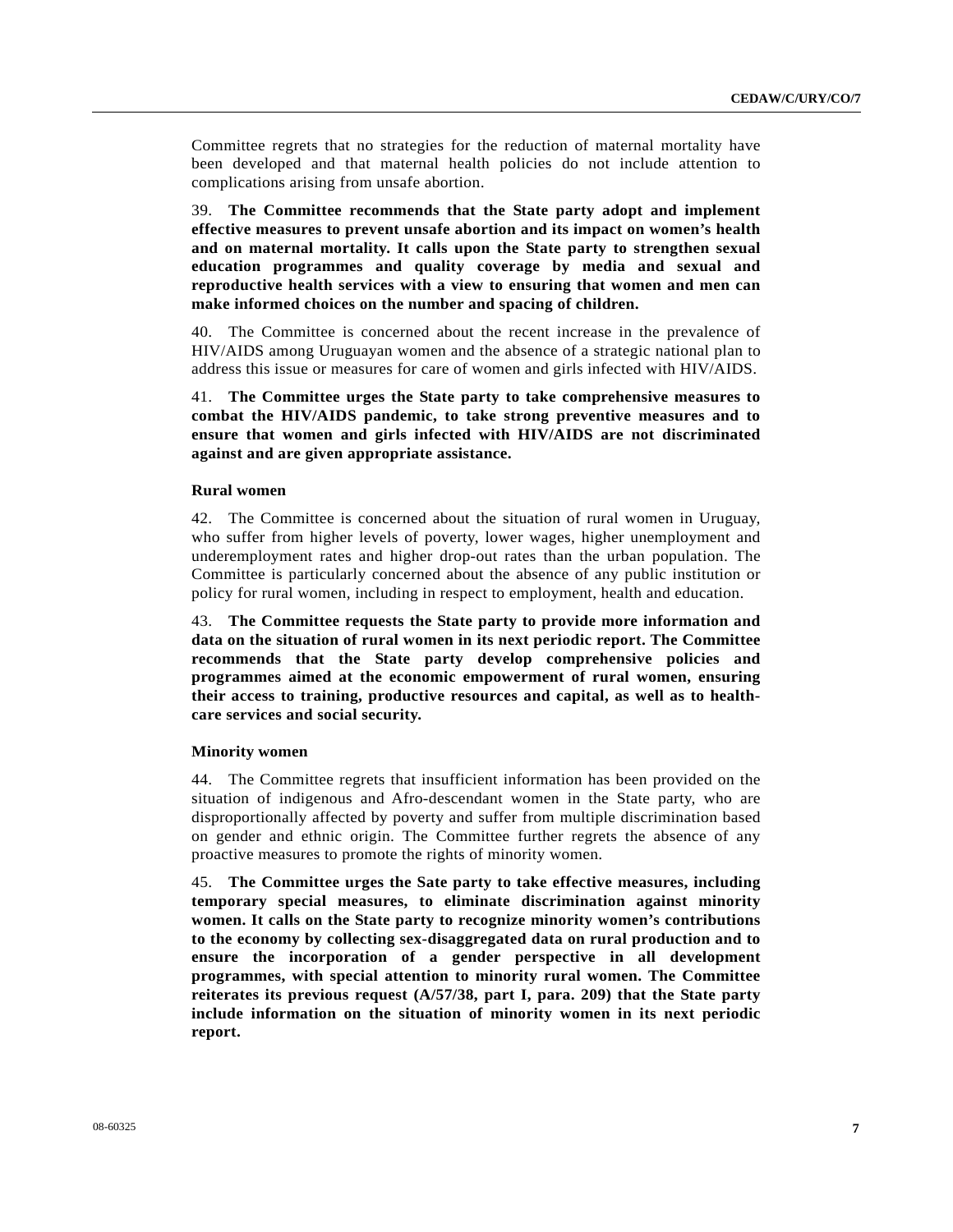Committee regrets that no strategies for the reduction of maternal mortality have been developed and that maternal health policies do not include attention to complications arising from unsafe abortion.

39. **The Committee recommends that the State party adopt and implement effective measures to prevent unsafe abortion and its impact on women's health and on maternal mortality. It calls upon the State party to strengthen sexual education programmes and quality coverage by media and sexual and reproductive health services with a view to ensuring that women and men can make informed choices on the number and spacing of children.**

40. The Committee is concerned about the recent increase in the prevalence of HIV/AIDS among Uruguayan women and the absence of a strategic national plan to address this issue or measures for care of women and girls infected with HIV/AIDS.

41. **The Committee urges the State party to take comprehensive measures to combat the HIV/AIDS pandemic, to take strong preventive measures and to ensure that women and girls infected with HIV/AIDS are not discriminated against and are given appropriate assistance.** 

#### **Rural women**

42. The Committee is concerned about the situation of rural women in Uruguay, who suffer from higher levels of poverty, lower wages, higher unemployment and underemployment rates and higher drop-out rates than the urban population. The Committee is particularly concerned about the absence of any public institution or policy for rural women, including in respect to employment, health and education.

43. **The Committee requests the State party to provide more information and data on the situation of rural women in its next periodic report. The Committee recommends that the State party develop comprehensive policies and programmes aimed at the economic empowerment of rural women, ensuring their access to training, productive resources and capital, as well as to healthcare services and social security.** 

#### **Minority women**

44. The Committee regrets that insufficient information has been provided on the situation of indigenous and Afro-descendant women in the State party, who are disproportionally affected by poverty and suffer from multiple discrimination based on gender and ethnic origin. The Committee further regrets the absence of any proactive measures to promote the rights of minority women.

45. **The Committee urges the Sate party to take effective measures, including temporary special measures, to eliminate discrimination against minority women. It calls on the State party to recognize minority women's contributions to the economy by collecting sex-disaggregated data on rural production and to ensure the incorporation of a gender perspective in all development programmes, with special attention to minority rural women. The Committee reiterates its previous request (A/57/38, part I, para. 209) that the State party include information on the situation of minority women in its next periodic report.**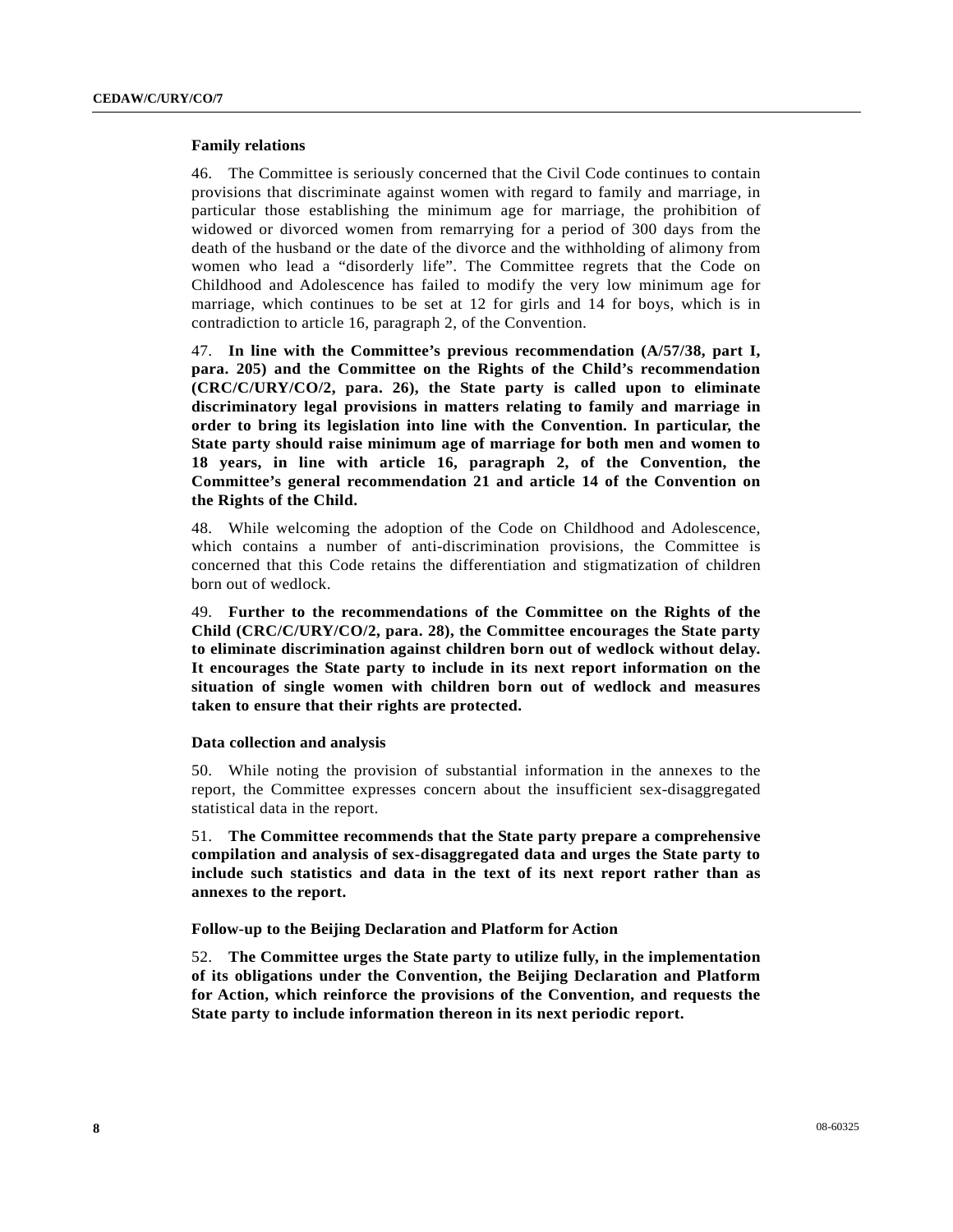#### **Family relations**

46. The Committee is seriously concerned that the Civil Code continues to contain provisions that discriminate against women with regard to family and marriage, in particular those establishing the minimum age for marriage, the prohibition of widowed or divorced women from remarrying for a period of 300 days from the death of the husband or the date of the divorce and the withholding of alimony from women who lead a "disorderly life". The Committee regrets that the Code on Childhood and Adolescence has failed to modify the very low minimum age for marriage, which continues to be set at 12 for girls and 14 for boys, which is in contradiction to article 16, paragraph 2, of the Convention.

47. **In line with the Committee's previous recommendation (A/57/38, part I, para. 205) and the Committee on the Rights of the Child's recommendation (CRC/C/URY/CO/2, para. 26), the State party is called upon to eliminate discriminatory legal provisions in matters relating to family and marriage in order to bring its legislation into line with the Convention. In particular, the State party should raise minimum age of marriage for both men and women to 18 years, in line with article 16, paragraph 2, of the Convention, the Committee's general recommendation 21 and article 14 of the Convention on the Rights of the Child.**

48. While welcoming the adoption of the Code on Childhood and Adolescence, which contains a number of anti-discrimination provisions, the Committee is concerned that this Code retains the differentiation and stigmatization of children born out of wedlock.

49. **Further to the recommendations of the Committee on the Rights of the Child (CRC/C/URY/CO/2, para. 28), the Committee encourages the State party to eliminate discrimination against children born out of wedlock without delay. It encourages the State party to include in its next report information on the situation of single women with children born out of wedlock and measures taken to ensure that their rights are protected.**

#### **Data collection and analysis**

50. While noting the provision of substantial information in the annexes to the report, the Committee expresses concern about the insufficient sex-disaggregated statistical data in the report.

51. **The Committee recommends that the State party prepare a comprehensive compilation and analysis of sex-disaggregated data and urges the State party to include such statistics and data in the text of its next report rather than as annexes to the report.** 

 **Follow-up to the Beijing Declaration and Platform for Action** 

52. **The Committee urges the State party to utilize fully, in the implementation of its obligations under the Convention, the Beijing Declaration and Platform for Action, which reinforce the provisions of the Convention, and requests the State party to include information thereon in its next periodic report.**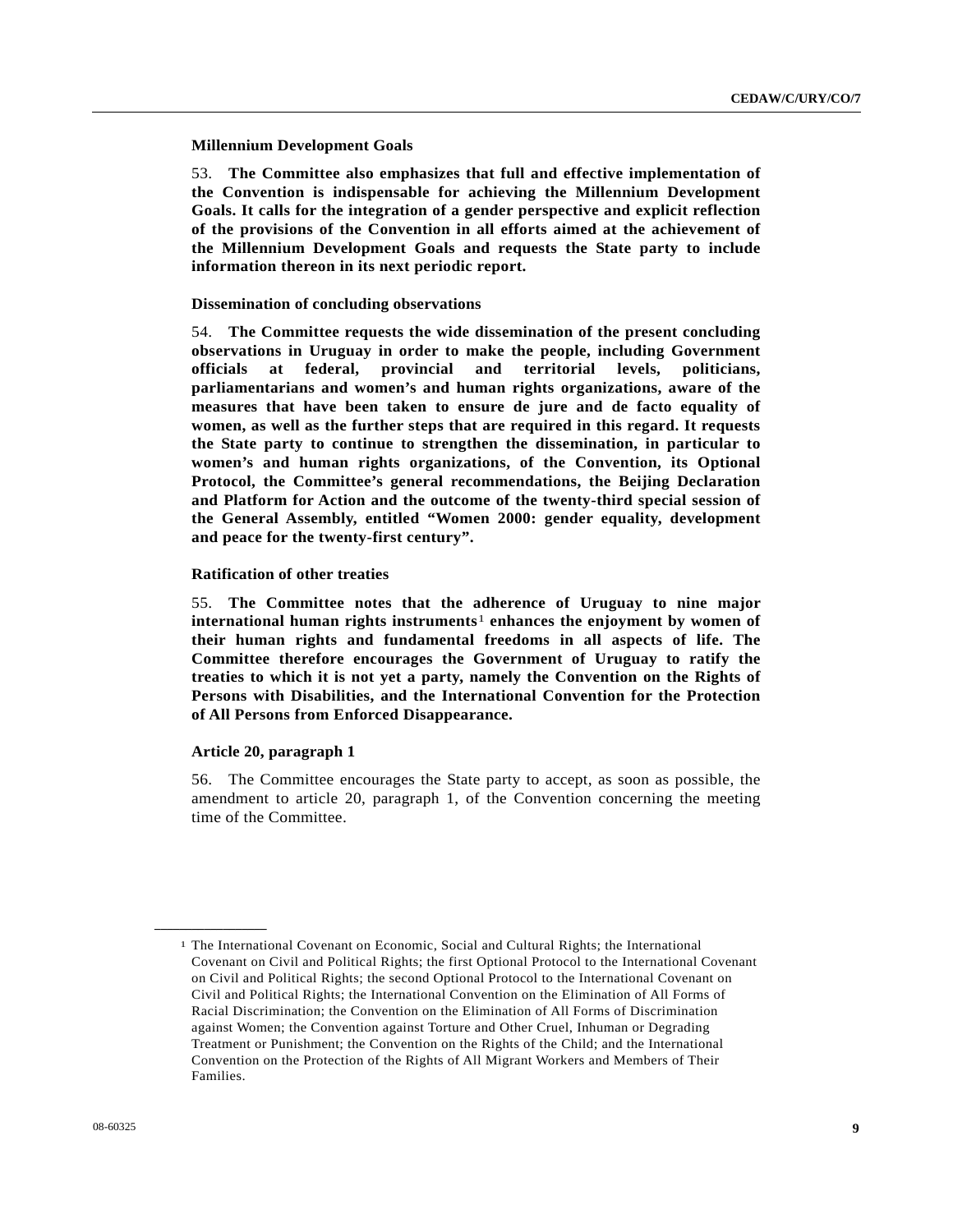**Millennium Development Goals** 

53. **The Committee also emphasizes that full and effective implementation of the Convention is indispensable for achieving the Millennium Development Goals. It calls for the integration of a gender perspective and explicit reflection of the provisions of the Convention in all efforts aimed at the achievement of the Millennium Development Goals and requests the State party to include information thereon in its next periodic report.** 

#### **Dissemination of concluding observations**

54. **The Committee requests the wide dissemination of the present concluding observations in Uruguay in order to make the people, including Government officials at federal, provincial and territorial levels, politicians, parliamentarians and women's and human rights organizations, aware of the measures that have been taken to ensure de jure and de facto equality of women, as well as the further steps that are required in this regard. It requests the State party to continue to strengthen the dissemination, in particular to women's and human rights organizations, of the Convention, its Optional Protocol, the Committee's general recommendations, the Beijing Declaration and Platform for Action and the outcome of the twenty-third special session of the General Assembly, entitled "Women 2000: gender equality, development and peace for the twenty-first century".** 

#### **Ratification of other treaties**

55. **The Committee notes that the adherence of Uruguay to nine major international human rights instruments**[1](#page-8-0) **enhances the enjoyment by women of their human rights and fundamental freedoms in all aspects of life. The Committee therefore encourages the Government of Uruguay to ratify the treaties to which it is not yet a party, namely the Convention on the Rights of Persons with Disabilities, and the International Convention for the Protection of All Persons from Enforced Disappearance.**

#### **Article 20, paragraph 1**

<span id="page-8-0"></span>**\_\_\_\_\_\_\_\_\_\_\_\_\_\_\_\_\_\_** 

56. The Committee encourages the State party to accept, as soon as possible, the amendment to article 20, paragraph 1, of the Convention concerning the meeting time of the Committee.

<sup>1</sup> The International Covenant on Economic, Social and Cultural Rights; the International Covenant on Civil and Political Rights; the first Optional Protocol to the International Covenant on Civil and Political Rights; the second Optional Protocol to the International Covenant on Civil and Political Rights; the International Convention on the Elimination of All Forms of Racial Discrimination; the Convention on the Elimination of All Forms of Discrimination against Women; the Convention against Torture and Other Cruel, Inhuman or Degrading Treatment or Punishment; the Convention on the Rights of the Child; and the International Convention on the Protection of the Rights of All Migrant Workers and Members of Their Families.